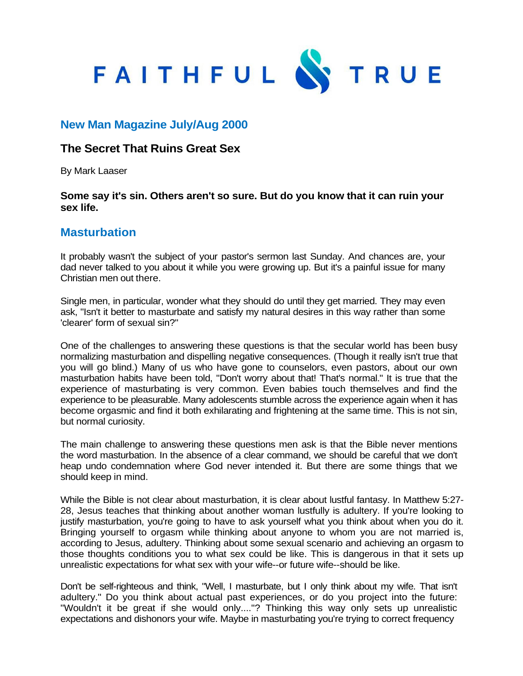

## **New Man Magazine July/Aug 2000**

## **The Secret That Ruins Great Sex**

By Mark Laaser

## **Some say it's sin. Others aren't so sure. But do you know that it can ruin your sex life.**

## **Masturbation**

It probably wasn't the subject of your pastor's sermon last Sunday. And chances are, your dad never talked to you about it while you were growing up. But it's a painful issue for many Christian men out there.

Single men, in particular, wonder what they should do until they get married. They may even ask, "Isn't it better to masturbate and satisfy my natural desires in this way rather than some 'clearer' form of sexual sin?"

One of the challenges to answering these questions is that the secular world has been busy normalizing masturbation and dispelling negative consequences. (Though it really isn't true that you will go blind.) Many of us who have gone to counselors, even pastors, about our own masturbation habits have been told, "Don't worry about that! That's normal." It is true that the experience of masturbating is very common. Even babies touch themselves and find the experience to be pleasurable. Many adolescents stumble across the experience again when it has become orgasmic and find it both exhilarating and frightening at the same time. This is not sin, but normal curiosity.

The main challenge to answering these questions men ask is that the Bible never mentions the word masturbation. In the absence of a clear command, we should be careful that we don't heap undo condemnation where God never intended it. But there are some things that we should keep in mind.

While the Bible is not clear about masturbation, it is clear about lustful fantasy. In Matthew 5:27- 28, Jesus teaches that thinking about another woman lustfully is adultery. If you're looking to justify masturbation, you're going to have to ask yourself what you think about when you do it. Bringing yourself to orgasm while thinking about anyone to whom you are not married is, according to Jesus, adultery. Thinking about some sexual scenario and achieving an orgasm to those thoughts conditions you to what sex could be like. This is dangerous in that it sets up unrealistic expectations for what sex with your wife--or future wife--should be like.

Don't be self-righteous and think, "Well, I masturbate, but I only think about my wife. That isn't adultery." Do you think about actual past experiences, or do you project into the future: "Wouldn't it be great if she would only...."? Thinking this way only sets up unrealistic expectations and dishonors your wife. Maybe in masturbating you're trying to correct frequency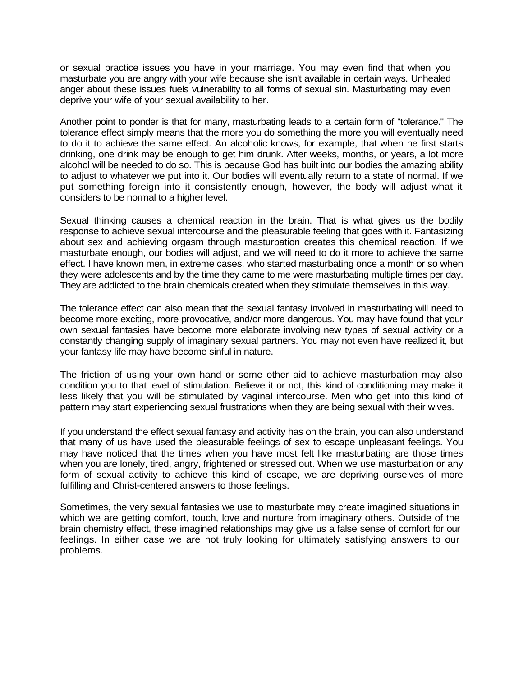or sexual practice issues you have in your marriage. You may even find that when you masturbate you are angry with your wife because she isn't available in certain ways. Unhealed anger about these issues fuels vulnerability to all forms of sexual sin. Masturbating may even deprive your wife of your sexual availability to her.

Another point to ponder is that for many, masturbating leads to a certain form of "tolerance." The tolerance effect simply means that the more you do something the more you will eventually need to do it to achieve the same effect. An alcoholic knows, for example, that when he first starts drinking, one drink may be enough to get him drunk. After weeks, months, or years, a lot more alcohol will be needed to do so. This is because God has built into our bodies the amazing ability to adjust to whatever we put into it. Our bodies will eventually return to a state of normal. If we put something foreign into it consistently enough, however, the body will adjust what it considers to be normal to a higher level.

Sexual thinking causes a chemical reaction in the brain. That is what gives us the bodily response to achieve sexual intercourse and the pleasurable feeling that goes with it. Fantasizing about sex and achieving orgasm through masturbation creates this chemical reaction. If we masturbate enough, our bodies will adjust, and we will need to do it more to achieve the same effect. I have known men, in extreme cases, who started masturbating once a month or so when they were adolescents and by the time they came to me were masturbating multiple times per day. They are addicted to the brain chemicals created when they stimulate themselves in this way.

The tolerance effect can also mean that the sexual fantasy involved in masturbating will need to become more exciting, more provocative, and/or more dangerous. You may have found that your own sexual fantasies have become more elaborate involving new types of sexual activity or a constantly changing supply of imaginary sexual partners. You may not even have realized it, but your fantasy life may have become sinful in nature.

The friction of using your own hand or some other aid to achieve masturbation may also condition you to that level of stimulation. Believe it or not, this kind of conditioning may make it less likely that you will be stimulated by vaginal intercourse. Men who get into this kind of pattern may start experiencing sexual frustrations when they are being sexual with their wives.

If you understand the effect sexual fantasy and activity has on the brain, you can also understand that many of us have used the pleasurable feelings of sex to escape unpleasant feelings. You may have noticed that the times when you have most felt like masturbating are those times when you are lonely, tired, angry, frightened or stressed out. When we use masturbation or any form of sexual activity to achieve this kind of escape, we are depriving ourselves of more fulfilling and Christ-centered answers to those feelings.

Sometimes, the very sexual fantasies we use to masturbate may create imagined situations in which we are getting comfort, touch, love and nurture from imaginary others. Outside of the brain chemistry effect, these imagined relationships may give us a false sense of comfort for our feelings. In either case we are not truly looking for ultimately satisfying answers to our problems.